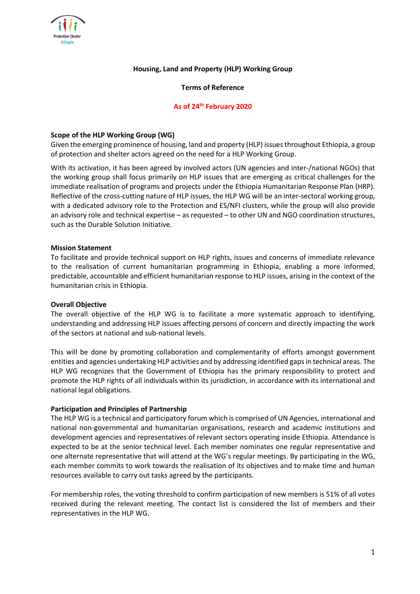

### **Housing, Land and Property (HLP) Working Group**

### **Terms of Reference**

### **As of 24th February 2020**

### **Scope of the HLP Working Group (WG)**

Given the emerging prominence of housing, land and property (HLP) issues throughout Ethiopia, a group of protection and shelter actors agreed on the need for a HLP Working Group.

With its activation, it has been agreed by involved actors (UN agencies and inter-/national NGOs) that the working group shall focus primarily on HLP issues that are emerging as critical challenges for the immediate realisation of programs and projects under the Ethiopia Humanitarian Response Plan (HRP). Reflective of the cross-cutting nature of HLP issues, the HLP WG will be an inter-sectoral working group, with a dedicated advisory role to the Protection and ES/NFI clusters, while the group will also provide an advisory role and technical expertise – as requested – to other UN and NGO coordination structures, such as the Durable Solution Initiative.

#### **Mission Statement**

To facilitate and provide technical support on HLP rights, issues and concerns of immediate relevance to the realisation of current humanitarian programming in Ethiopia, enabling a more informed, predictable, accountable and efficient humanitarian response to HLP issues, arising in the context of the humanitarian crisis in Ethiopia.

### **Overall Objective**

The overall objective of the HLP WG is to facilitate a more systematic approach to identifying, understanding and addressing HLP issues affecting persons of concern and directly impacting the work of the sectors at national and sub-national levels.

This will be done by promoting collaboration and complementarity of efforts amongst government entities and agencies undertaking HLP activities and by addressing identified gaps in technical areas. The HLP WG recognizes that the Government of Ethiopia has the primary responsibility to protect and promote the HLP rights of all individuals within its jurisdiction, in accordance with its international and national legal obligations.

### **Participation and Principles of Partnership**

The HLP WG is a technical and participatory forum which is comprised of UN Agencies, international and national non-governmental and humanitarian organisations, research and academic institutions and development agencies and representatives of relevant sectors operating inside Ethiopia. Attendance is expected to be at the senior technical level. Each member nominates one regular representative and one alternate representative that will attend at the WG's regular meetings. By participating in the WG, each member commits to work towards the realisation of its objectives and to make time and human resources available to carry out tasks agreed by the participants.

For membership roles, the voting threshold to confirm participation of new members is 51% of all votes received during the relevant meeting. The contact list is considered the list of members and their representatives in the HLP WG.